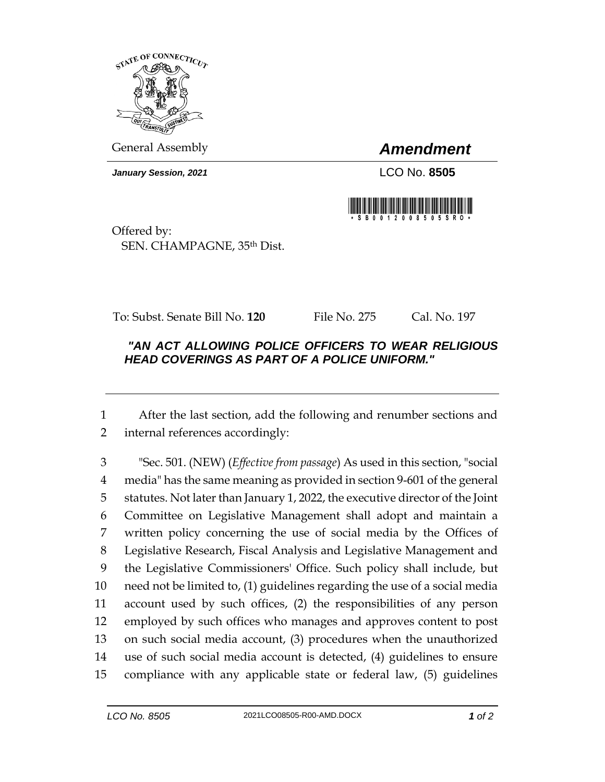

General Assembly *Amendment*

*January Session, 2021* LCO No. **8505**



Offered by: SEN. CHAMPAGNE, 35th Dist.

To: Subst. Senate Bill No. **120** File No. 275 Cal. No. 197

## *"AN ACT ALLOWING POLICE OFFICERS TO WEAR RELIGIOUS HEAD COVERINGS AS PART OF A POLICE UNIFORM."*

 After the last section, add the following and renumber sections and internal references accordingly:

 "Sec. 501. (NEW) (*Effective from passage*) As used in this section, "social media" has the same meaning as provided in section 9-601 of the general statutes. Not later than January 1, 2022, the executive director of the Joint Committee on Legislative Management shall adopt and maintain a written policy concerning the use of social media by the Offices of Legislative Research, Fiscal Analysis and Legislative Management and the Legislative Commissioners' Office. Such policy shall include, but need not be limited to, (1) guidelines regarding the use of a social media account used by such offices, (2) the responsibilities of any person employed by such offices who manages and approves content to post on such social media account, (3) procedures when the unauthorized use of such social media account is detected, (4) guidelines to ensure compliance with any applicable state or federal law, (5) guidelines